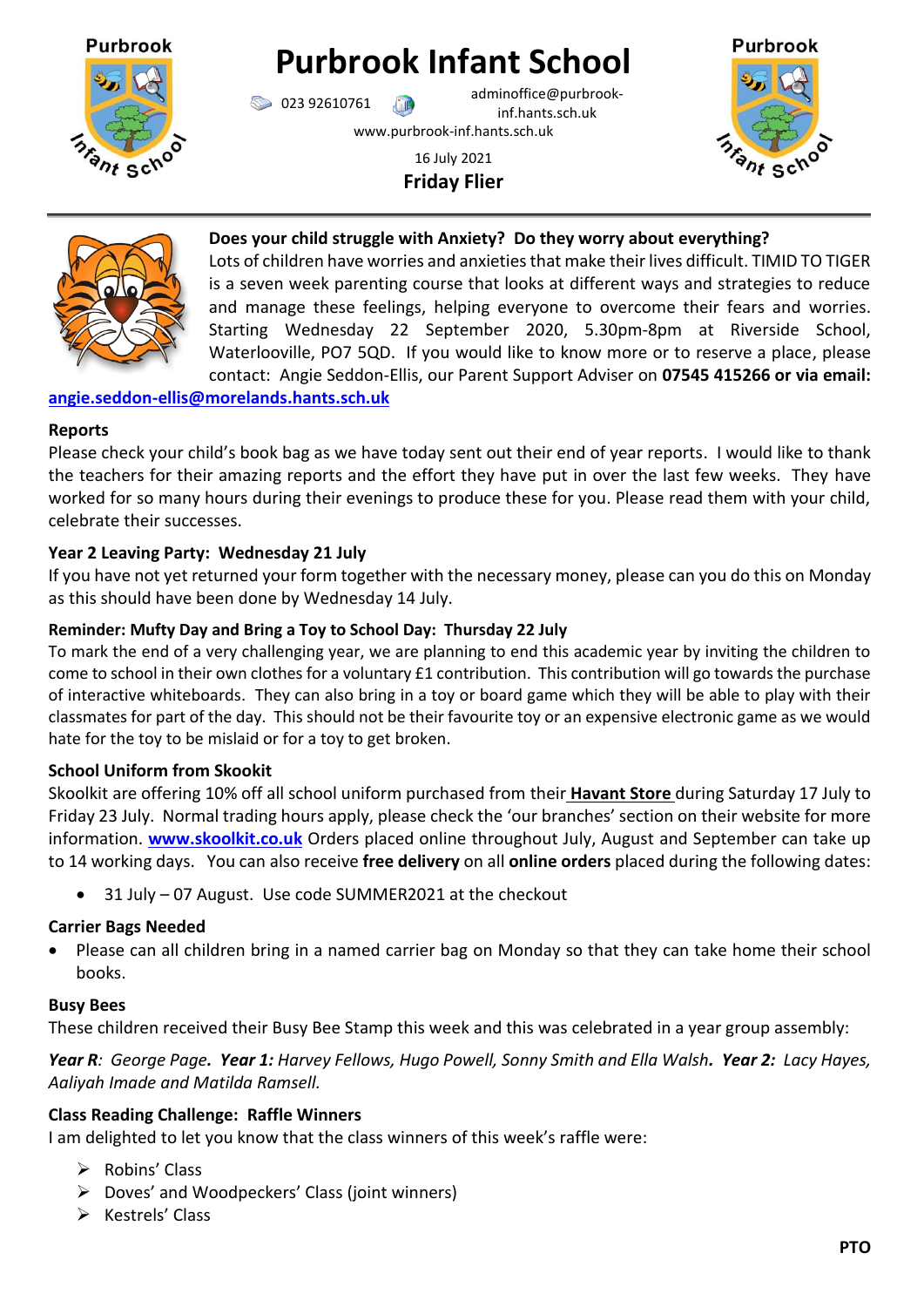

# **Purbrook Infant School**

023 92610761 adminoffice@purbrookinf.hants.sch.uk www.purbrook-inf.hants.sch.uk

> 16 July 2021 **Friday Flier**





## **Does your child struggle with Anxiety? Do they worry about everything?**

Lots of children have worries and anxieties that make their lives difficult. TIMID TO TIGER is a seven week parenting course that looks at different ways and strategies to reduce and manage these feelings, helping everyone to overcome their fears and worries. Starting Wednesday 22 September 2020, 5.30pm-8pm at Riverside School, Waterlooville, PO7 5QD. If you would like to know more or to reserve a place, please contact: Angie Seddon-Ellis, our Parent Support Adviser on **07545 415266 or via email:** 

## **[angie.seddon-ellis@morelands.hants.sch.uk](mailto:angie.seddon-ellis@morelands.hants.sch.uk)**

#### **Reports**

Please check your child's book bag as we have today sent out their end of year reports. I would like to thank the teachers for their amazing reports and the effort they have put in over the last few weeks. They have worked for so many hours during their evenings to produce these for you. Please read them with your child, celebrate their successes.

## **Year 2 Leaving Party: Wednesday 21 July**

If you have not yet returned your form together with the necessary money, please can you do this on Monday as this should have been done by Wednesday 14 July.

### **Reminder: Mufty Day and Bring a Toy to School Day: Thursday 22 July**

To mark the end of a very challenging year, we are planning to end this academic year by inviting the children to come to school in their own clothes for a voluntary £1 contribution. This contribution will go towards the purchase of interactive whiteboards. They can also bring in a toy or board game which they will be able to play with their classmates for part of the day. This should not be their favourite toy or an expensive electronic game as we would hate for the toy to be mislaid or for a toy to get broken.

#### **School Uniform from Skookit**

Skoolkit are offering 10% off all school uniform purchased from their **Havant Store** during Saturday 17 July to Friday 23 July. Normal trading hours apply, please check the 'our branches' section on their website for more information. **[www.skoolkit.co.uk](http://www.skoolkit.co.uk/)** Orders placed online throughout July, August and September can take up to 14 working days. You can also receive **free delivery** on all **online orders** placed during the following dates:

31 July – 07 August. Use code SUMMER2021 at the checkout

### **Carrier Bags Needed**

• Please can all children bring in a named carrier bag on Monday so that they can take home their school books.

#### **Busy Bees**

These children received their Busy Bee Stamp this week and this was celebrated in a year group assembly:

*Year R: George Page. Year 1: Harvey Fellows, Hugo Powell, Sonny Smith and Ella Walsh. Year 2: Lacy Hayes, Aaliyah Imade and Matilda Ramsell.* 

#### **Class Reading Challenge: Raffle Winners**

I am delighted to let you know that the class winners of this week's raffle were:

- $\triangleright$  Robins' Class
- $\triangleright$  Doves' and Woodpeckers' Class (joint winners)
- $\triangleright$  Kestrels' Class